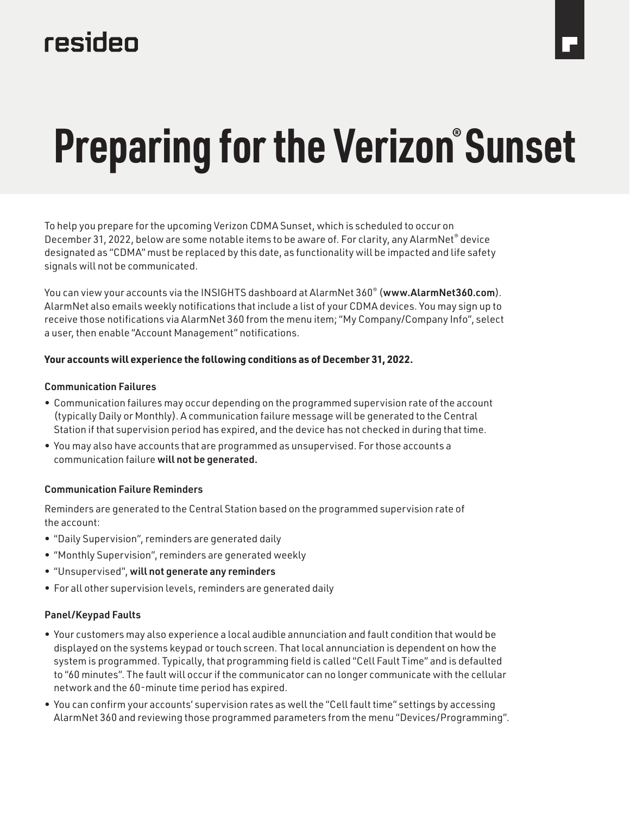# resideo

# **Preparing for the Verizon® Sunset**

To help you prepare for the upcoming Verizon CDMA Sunset, which is scheduled to occur on December 31, 2022, below are some notable items to be aware of. For clarity, any AlarmNet® device designated as "CDMA" must be replaced by this date, as functionality will be impacted and life safety signals will not be communicated.

You can view your accounts via the INSIGHTS dashboard at AlarmNet 360<sup>®</sup> (www.AlarmNet360.com). AlarmNet also emails weekly notifications that include a list of your CDMA devices. You may sign up to receive those notifications via AlarmNet 360 from the menu item; "My Company/Company Info", select a user, then enable "Account Management" notifications.

#### **Your accounts will experience the following conditions as of December 31, 2022.**

#### Communication Failures

- Communication failures may occur depending on the programmed supervision rate of the account (typically Daily or Monthly). A communication failure message will be generated to the Central Station if that supervision period has expired, and the device has not checked in during that time.
- You may also have accounts that are programmed as unsupervised. For those accounts a communication failure will not be generated.

## Communication Failure Reminders

Reminders are generated to the Central Station based on the programmed supervision rate of the account:

- "Daily Supervision", reminders are generated daily
- "Monthly Supervision", reminders are generated weekly
- "Unsupervised", will not generate any reminders
- For all other supervision levels, reminders are generated daily

## Panel/Keypad Faults

- Your customers may also experience a local audible annunciation and fault condition that would be displayed on the systems keypad or touch screen. That local annunciation is dependent on how the system is programmed. Typically, that programming field is called "Cell Fault Time" and is defaulted to "60 minutes". The fault will occur if the communicator can no longer communicate with the cellular network and the 60-minute time period has expired.
- You can confirm your accounts' supervision rates as well the "Cell fault time" settings by accessing AlarmNet 360 and reviewing those programmed parameters from the menu "Devices/Programming".